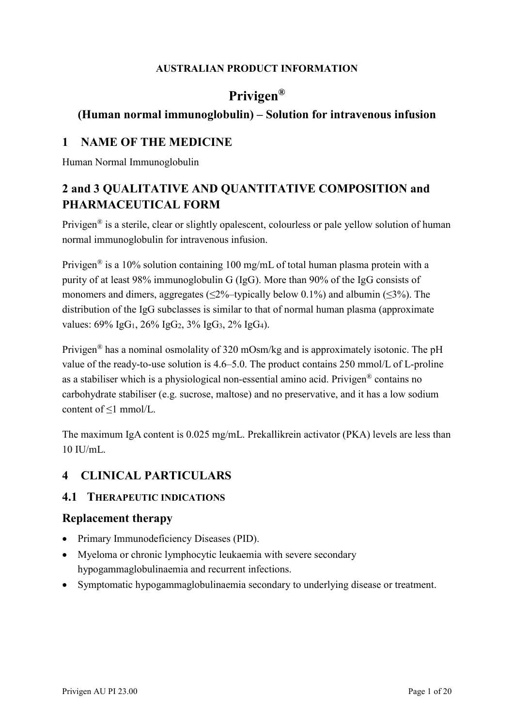#### **AUSTRALIAN PRODUCT INFORMATION**

# **Privigen®**

### **(Human normal immunoglobulin) – Solution for intravenous infusion**

### **1 NAME OF THE MEDICINE**

Human Normal Immunoglobulin

# **2 and 3 QUALITATIVE AND QUANTITATIVE COMPOSITION and PHARMACEUTICAL FORM**

Privigen® is a sterile, clear or slightly opalescent, colourless or pale yellow solution of human normal immunoglobulin for intravenous infusion.

Privigen<sup>®</sup> is a 10% solution containing 100 mg/mL of total human plasma protein with a purity of at least 98% immunoglobulin G (IgG). More than 90% of the IgG consists of monomers and dimers, aggregates ( $\leq 2\%$ -typically below 0.1%) and albumin ( $\leq 3\%$ ). The distribution of the IgG subclasses is similar to that of normal human plasma (approximate values:  $69\%$  IgG<sub>1</sub>,  $26\%$  IgG<sub>2</sub>,  $3\%$  IgG<sub>3</sub>,  $2\%$  IgG<sub>4</sub>).

Privigen® has a nominal osmolality of 320 mOsm/kg and is approximately isotonic. The pH value of the ready-to-use solution is 4.6–5.0. The product contains 250 mmol/L of L-proline as a stabiliser which is a physiological non-essential amino acid. Privigen® contains no carbohydrate stabiliser (e.g. sucrose, maltose) and no preservative, and it has a low sodium content of ≤1 mmol/L.

The maximum IgA content is 0.025 mg/mL. Prekallikrein activator (PKA) levels are less than  $10$  II  $l/mL$ .

# **4 CLINICAL PARTICULARS**

### **4.1 THERAPEUTIC INDICATIONS**

### **Replacement therapy**

- Primary Immunodeficiency Diseases (PID).
- Myeloma or chronic lymphocytic leukaemia with severe secondary hypogammaglobulinaemia and recurrent infections.
- Symptomatic hypogammaglobulinaemia secondary to underlying disease or treatment.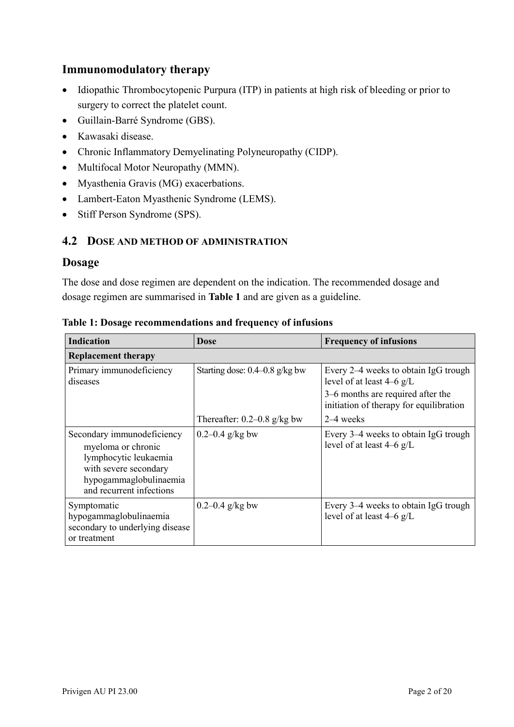### **Immunomodulatory therapy**

- Idiopathic Thrombocytopenic Purpura (ITP) in patients at high risk of bleeding or prior to surgery to correct the platelet count.
- Guillain-Barré Syndrome (GBS).
- Kawasaki disease.
- Chronic Inflammatory Demyelinating Polyneuropathy (CIDP).
- Multifocal Motor Neuropathy (MMN).
- Myasthenia Gravis (MG) exacerbations.
- Lambert-Eaton Myasthenic Syndrome (LEMS).
- Stiff Person Syndrome (SPS).

#### **4.2 DOSE AND METHOD OF ADMINISTRATION**

#### **Dosage**

The dose and dose regimen are dependent on the indication. The recommended dosage and dosage regimen are summarised in **Table 1** and are given as a guideline.

| <b>Indication</b>                                                                                                                                        | <b>Dose</b>                        | <b>Frequency of infusions</b>                                                                                                                       |
|----------------------------------------------------------------------------------------------------------------------------------------------------------|------------------------------------|-----------------------------------------------------------------------------------------------------------------------------------------------------|
| <b>Replacement therapy</b>                                                                                                                               |                                    |                                                                                                                                                     |
| Primary immunodeficiency<br>diseases                                                                                                                     | Starting dose: $0.4 - 0.8$ g/kg bw | Every 2–4 weeks to obtain IgG trough<br>level of at least $4-6$ g/L<br>3–6 months are required after the<br>initiation of therapy for equilibration |
|                                                                                                                                                          | Thereafter: $0.2 - 0.8$ g/kg bw    | $2-4$ weeks                                                                                                                                         |
| Secondary immunodeficiency<br>myeloma or chronic<br>lymphocytic leukaemia<br>with severe secondary<br>hypogammaglobulinaemia<br>and recurrent infections | 0.2–0.4 $g/kg$ bw                  | Every 3–4 weeks to obtain IgG trough<br>level of at least 4–6 g/L                                                                                   |
| Symptomatic<br>hypogammaglobulinaemia<br>secondary to underlying disease<br>or treatment                                                                 | 0.2–0.4 $g/kg$ bw                  | Every 3-4 weeks to obtain IgG trough<br>level of at least $4-6$ g/L                                                                                 |

#### **Table 1: Dosage recommendations and frequency of infusions**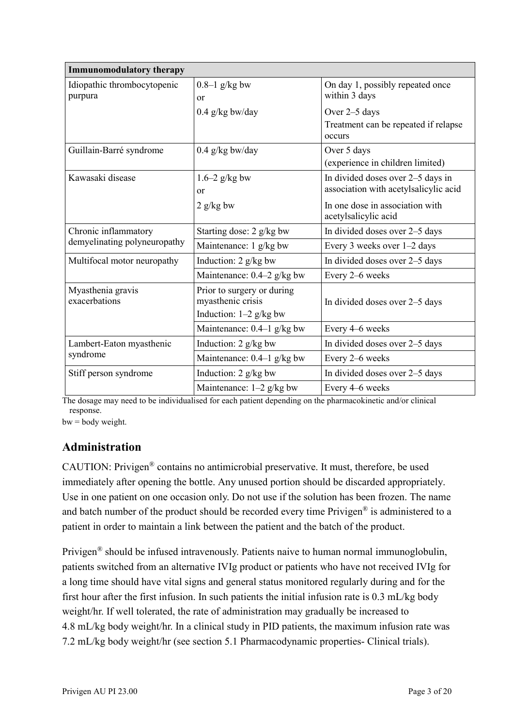| <b>Immunomodulatory therapy</b>                      |                                                                             |                                                                            |  |
|------------------------------------------------------|-----------------------------------------------------------------------------|----------------------------------------------------------------------------|--|
| Idiopathic thrombocytopenic<br>purpura               | $0.8-1$ g/kg bw<br>or                                                       | On day 1, possibly repeated once<br>within 3 days                          |  |
|                                                      | $0.4$ g/kg bw/day                                                           | Over 2–5 days                                                              |  |
|                                                      |                                                                             | Treatment can be repeated if relapse<br>occurs                             |  |
| Guillain-Barré syndrome                              | $0.4$ g/kg bw/day                                                           | Over 5 days                                                                |  |
|                                                      |                                                                             | (experience in children limited)                                           |  |
| Kawasaki disease                                     | $1.6-2$ g/kg bw<br>or                                                       | In divided doses over 2-5 days in<br>association with acetylsalicylic acid |  |
|                                                      | $2$ g/kg bw                                                                 | In one dose in association with<br>acetylsalicylic acid                    |  |
| Chronic inflammatory<br>demyelinating polyneuropathy | Starting dose: 2 g/kg bw                                                    | In divided doses over 2–5 days                                             |  |
|                                                      | Maintenance: 1 g/kg bw                                                      | Every 3 weeks over 1-2 days                                                |  |
| Multifocal motor neuropathy                          | Induction: 2 g/kg bw                                                        | In divided doses over 2-5 days                                             |  |
|                                                      | Maintenance: 0.4-2 g/kg bw                                                  | Every 2–6 weeks                                                            |  |
| Myasthenia gravis<br>exacerbations                   | Prior to surgery or during<br>myasthenic crisis<br>Induction: $1-2$ g/kg bw | In divided doses over 2–5 days                                             |  |
|                                                      | Maintenance: $0.4-1$ g/kg bw                                                | Every 4–6 weeks                                                            |  |
| Lambert-Eaton myasthenic<br>syndrome                 | Induction: 2 g/kg bw                                                        | In divided doses over 2–5 days                                             |  |
|                                                      | Maintenance: 0.4-1 g/kg bw                                                  | Every 2-6 weeks                                                            |  |
| Stiff person syndrome                                | Induction: 2 g/kg bw                                                        | In divided doses over 2–5 days                                             |  |
|                                                      | Maintenance: 1-2 g/kg bw                                                    | Every 4-6 weeks                                                            |  |

The dosage may need to be individualised for each patient depending on the pharmacokinetic and/or clinical response.

 $bw = body weight.$ 

## **Administration**

CAUTION: Privigen® contains no antimicrobial preservative. It must, therefore, be used immediately after opening the bottle. Any unused portion should be discarded appropriately. Use in one patient on one occasion only. Do not use if the solution has been frozen. The name and batch number of the product should be recorded every time Privigen® is administered to a patient in order to maintain a link between the patient and the batch of the product.

Privigen® should be infused intravenously. Patients naive to human normal immunoglobulin, patients switched from an alternative IVIg product or patients who have not received IVIg for a long time should have vital signs and general status monitored regularly during and for the first hour after the first infusion. In such patients the initial infusion rate is 0.3 mL/kg body weight/hr. If well tolerated, the rate of administration may gradually be increased to 4.8 mL/kg body weight/hr. In a clinical study in PID patients, the maximum infusion rate was 7.2 mL/kg body weight/hr (see section 5.1 Pharmacodynamic properties- Clinical trials).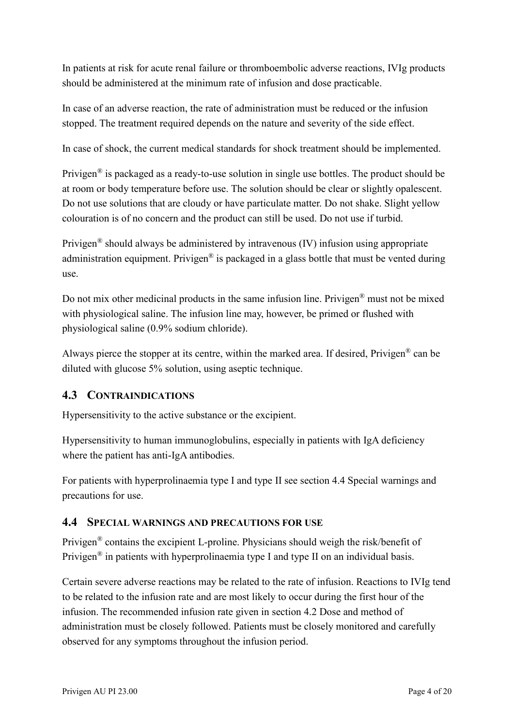In patients at risk for acute renal failure or thromboembolic adverse reactions, IVIg products should be administered at the minimum rate of infusion and dose practicable.

In case of an adverse reaction, the rate of administration must be reduced or the infusion stopped. The treatment required depends on the nature and severity of the side effect.

In case of shock, the current medical standards for shock treatment should be implemented.

Privigen<sup>®</sup> is packaged as a ready-to-use solution in single use bottles. The product should be at room or body temperature before use. The solution should be clear or slightly opalescent. Do not use solutions that are cloudy or have particulate matter. Do not shake. Slight yellow colouration is of no concern and the product can still be used. Do not use if turbid.

Privigen<sup>®</sup> should always be administered by intravenous  $(IV)$  infusion using appropriate administration equipment. Privigen<sup>®</sup> is packaged in a glass bottle that must be vented during use.

Do not mix other medicinal products in the same infusion line. Privigen® must not be mixed with physiological saline. The infusion line may, however, be primed or flushed with physiological saline (0.9% sodium chloride).

Always pierce the stopper at its centre, within the marked area. If desired, Privigen® can be diluted with glucose 5% solution, using aseptic technique.

### **4.3 CONTRAINDICATIONS**

Hypersensitivity to the active substance or the excipient.

Hypersensitivity to human immunoglobulins, especially in patients with IgA deficiency where the patient has anti-IgA antibodies.

For patients with hyperprolinaemia type I and type II see section 4.4 Special warnings and precautions for use.

#### **4.4 SPECIAL WARNINGS AND PRECAUTIONS FOR USE**

Privigen® contains the excipient L-proline. Physicians should weigh the risk/benefit of Privigen<sup>®</sup> in patients with hyperprolinaemia type I and type II on an individual basis.

Certain severe adverse reactions may be related to the rate of infusion. Reactions to IVIg tend to be related to the infusion rate and are most likely to occur during the first hour of the infusion. The recommended infusion rate given in section 4.2 Dose and method of administration must be closely followed. Patients must be closely monitored and carefully observed for any symptoms throughout the infusion period.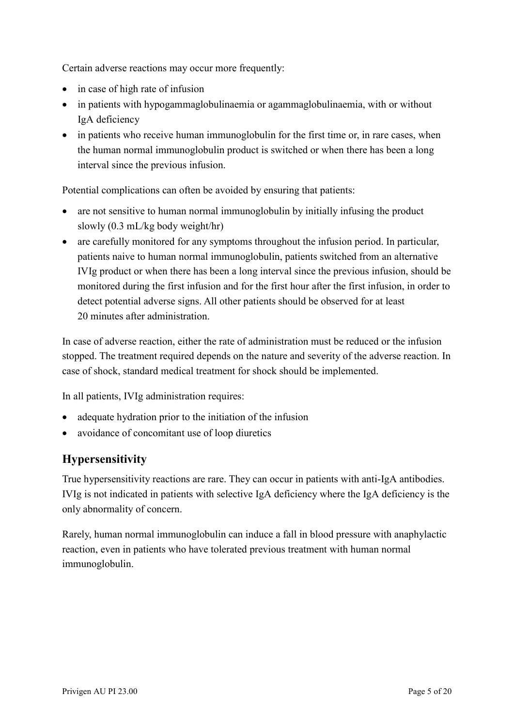Certain adverse reactions may occur more frequently:

- in case of high rate of infusion
- in patients with hypogammaglobulinaemia or agammaglobulinaemia, with or without IgA deficiency
- in patients who receive human immunoglobulin for the first time or, in rare cases, when the human normal immunoglobulin product is switched or when there has been a long interval since the previous infusion.

Potential complications can often be avoided by ensuring that patients:

- are not sensitive to human normal immunoglobulin by initially infusing the product slowly (0.3 mL/kg body weight/hr)
- are carefully monitored for any symptoms throughout the infusion period. In particular, patients naive to human normal immunoglobulin, patients switched from an alternative IVIg product or when there has been a long interval since the previous infusion, should be monitored during the first infusion and for the first hour after the first infusion, in order to detect potential adverse signs. All other patients should be observed for at least 20 minutes after administration.

In case of adverse reaction, either the rate of administration must be reduced or the infusion stopped. The treatment required depends on the nature and severity of the adverse reaction. In case of shock, standard medical treatment for shock should be implemented.

In all patients, IVIg administration requires:

- adequate hydration prior to the initiation of the infusion
- avoidance of concomitant use of loop diuretics

# **Hypersensitivity**

True hypersensitivity reactions are rare. They can occur in patients with anti-IgA antibodies. IVIg is not indicated in patients with selective IgA deficiency where the IgA deficiency is the only abnormality of concern.

Rarely, human normal immunoglobulin can induce a fall in blood pressure with anaphylactic reaction, even in patients who have tolerated previous treatment with human normal immunoglobulin.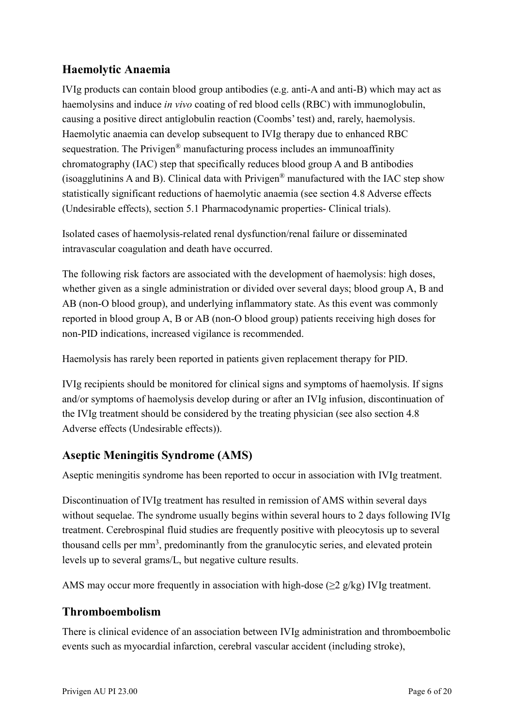## **Haemolytic Anaemia**

IVIg products can contain blood group antibodies (e.g. anti-A and anti-B) which may act as haemolysins and induce *in vivo* coating of red blood cells (RBC) with immunoglobulin, causing a positive direct antiglobulin reaction (Coombs' test) and, rarely, haemolysis. Haemolytic anaemia can develop subsequent to IVIg therapy due to enhanced RBC sequestration. The Privigen<sup>®</sup> manufacturing process includes an immunoaffinity chromatography (IAC) step that specifically reduces blood group A and B antibodies (isoagglutinins A and B). Clinical data with  $Privigen^{\circledR}$  manufactured with the IAC step show statistically significant reductions of haemolytic anaemia (see section 4.8 Adverse effects (Undesirable effects), section 5.1 Pharmacodynamic properties- Clinical trials).

Isolated cases of haemolysis-related renal dysfunction/renal failure or disseminated intravascular coagulation and death have occurred.

The following risk factors are associated with the development of haemolysis: high doses, whether given as a single administration or divided over several days; blood group A, B and AB (non-O blood group), and underlying inflammatory state. As this event was commonly reported in blood group A, B or AB (non-O blood group) patients receiving high doses for non-PID indications, increased vigilance is recommended.

Haemolysis has rarely been reported in patients given replacement therapy for PID.

IVIg recipients should be monitored for clinical signs and symptoms of haemolysis. If signs and/or symptoms of haemolysis develop during or after an IVIg infusion, discontinuation of the IVIg treatment should be considered by the treating physician (see also section 4.8 Adverse effects (Undesirable effects)).

## **Aseptic Meningitis Syndrome (AMS)**

Aseptic meningitis syndrome has been reported to occur in association with IVIg treatment.

Discontinuation of IVIg treatment has resulted in remission of AMS within several days without sequelae. The syndrome usually begins within several hours to 2 days following IVIg treatment. Cerebrospinal fluid studies are frequently positive with pleocytosis up to several thousand cells per mm<sup>3</sup>, predominantly from the granulocytic series, and elevated protein levels up to several grams/L, but negative culture results.

AMS may occur more frequently in association with high-dose ( $\geq$ 2 g/kg) IVIg treatment.

## **Thromboembolism**

There is clinical evidence of an association between IVIg administration and thromboembolic events such as myocardial infarction, cerebral vascular accident (including stroke),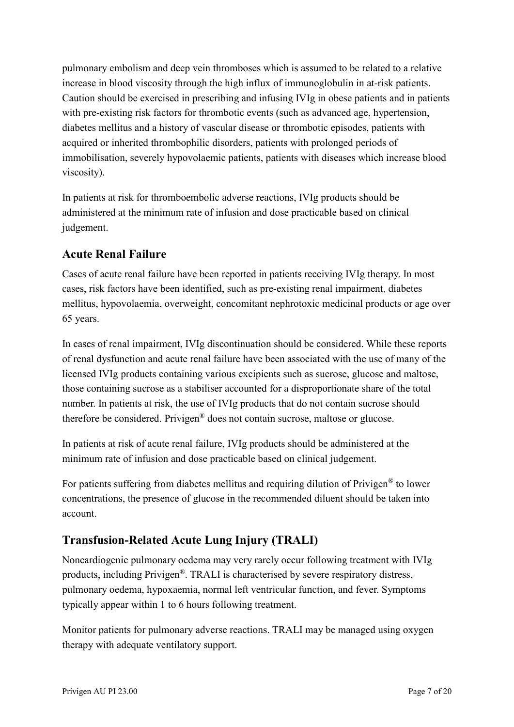pulmonary embolism and deep vein thromboses which is assumed to be related to a relative increase in blood viscosity through the high influx of immunoglobulin in at-risk patients. Caution should be exercised in prescribing and infusing IVIg in obese patients and in patients with pre-existing risk factors for thrombotic events (such as advanced age, hypertension, diabetes mellitus and a history of vascular disease or thrombotic episodes, patients with acquired or inherited thrombophilic disorders, patients with prolonged periods of immobilisation, severely hypovolaemic patients, patients with diseases which increase blood viscosity).

In patients at risk for thromboembolic adverse reactions, IVIg products should be administered at the minimum rate of infusion and dose practicable based on clinical judgement.

## **Acute Renal Failure**

Cases of acute renal failure have been reported in patients receiving IVIg therapy. In most cases, risk factors have been identified, such as pre-existing renal impairment, diabetes mellitus, hypovolaemia, overweight, concomitant nephrotoxic medicinal products or age over 65 years.

In cases of renal impairment, IVIg discontinuation should be considered. While these reports of renal dysfunction and acute renal failure have been associated with the use of many of the licensed IVIg products containing various excipients such as sucrose, glucose and maltose, those containing sucrose as a stabiliser accounted for a disproportionate share of the total number. In patients at risk, the use of IVIg products that do not contain sucrose should therefore be considered. Privigen® does not contain sucrose, maltose or glucose.

In patients at risk of acute renal failure, IVIg products should be administered at the minimum rate of infusion and dose practicable based on clinical judgement.

For patients suffering from diabetes mellitus and requiring dilution of Privigen® to lower concentrations, the presence of glucose in the recommended diluent should be taken into account.

# **Transfusion-Related Acute Lung Injury (TRALI)**

Noncardiogenic pulmonary oedema may very rarely occur following treatment with IVIg products, including Privigen®. TRALI is characterised by severe respiratory distress, pulmonary oedema, hypoxaemia, normal left ventricular function, and fever. Symptoms typically appear within 1 to 6 hours following treatment.

Monitor patients for pulmonary adverse reactions. TRALI may be managed using oxygen therapy with adequate ventilatory support.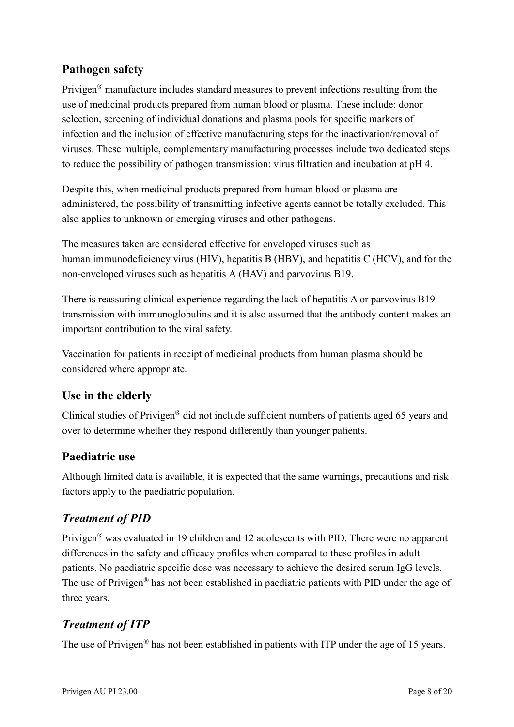## **Pathogen safety**

Privigen<sup>®</sup> manufacture includes standard measures to prevent infections resulting from the use of medicinal products prepared from human blood or plasma. These include: donor selection, screening of individual donations and plasma pools for specific markers of infection and the inclusion of effective manufacturing steps for the inactivation/removal of viruses. These multiple, complementary manufacturing processes include two dedicated steps to reduce the possibility of pathogen transmission: virus filtration and incubation at pH 4.

Despite this, when medicinal products prepared from human blood or plasma are administered, the possibility of transmitting infective agents cannot be totally excluded. This also applies to unknown or emerging viruses and other pathogens.

The measures taken are considered effective for enveloped viruses such as human immunodeficiency virus (HIV), hepatitis B (HBV), and hepatitis C (HCV), and for the non-enveloped viruses such as hepatitis A (HAV) and parvovirus B19.

There is reassuring clinical experience regarding the lack of hepatitis A or parvovirus B19 transmission with immunoglobulins and it is also assumed that the antibody content makes an important contribution to the viral safety.

Vaccination for patients in receipt of medicinal products from human plasma should be considered where appropriate.

# **Use in the elderly**

Clinical studies of Privigen® did not include sufficient numbers of patients aged 65 years and over to determine whether they respond differently than younger patients.

## **Paediatric use**

Although limited data is available, it is expected that the same warnings, precautions and risk factors apply to the paediatric population.

# *Treatment of PID*

Privigen® was evaluated in 19 children and 12 adolescents with PID. There were no apparent differences in the safety and efficacy profiles when compared to these profiles in adult patients. No paediatric specific dose was necessary to achieve the desired serum IgG levels. The use of Privigen® has not been established in paediatric patients with PID under the age of three years.

# *Treatment of ITP*

The use of Privigen<sup>®</sup> has not been established in patients with ITP under the age of 15 years.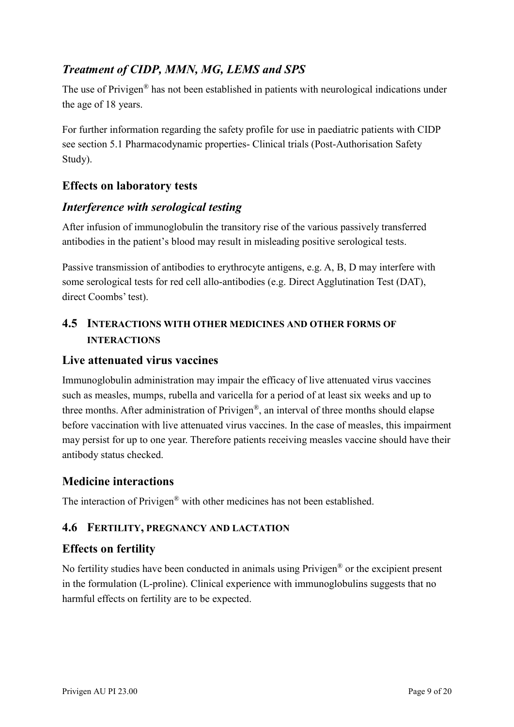# *Treatment of CIDP, MMN, MG, LEMS and SPS*

The use of Privigen® has not been established in patients with neurological indications under the age of 18 years.

For further information regarding the safety profile for use in paediatric patients with CIDP see section 5.1 Pharmacodynamic properties- Clinical trials (Post-Authorisation Safety Study).

## **Effects on laboratory tests**

### *Interference with serological testing*

After infusion of immunoglobulin the transitory rise of the various passively transferred antibodies in the patient's blood may result in misleading positive serological tests.

Passive transmission of antibodies to erythrocyte antigens, e.g. A, B, D may interfere with some serological tests for red cell allo-antibodies (e.g. Direct Agglutination Test (DAT), direct Coombs' test).

## **4.5 INTERACTIONS WITH OTHER MEDICINES AND OTHER FORMS OF INTERACTIONS**

### **Live attenuated virus vaccines**

Immunoglobulin administration may impair the efficacy of live attenuated virus vaccines such as measles, mumps, rubella and varicella for a period of at least six weeks and up to three months. After administration of Privigen®, an interval of three months should elapse before vaccination with live attenuated virus vaccines. In the case of measles, this impairment may persist for up to one year. Therefore patients receiving measles vaccine should have their antibody status checked.

## **Medicine interactions**

The interaction of Privigen® with other medicines has not been established.

### **4.6 FERTILITY, PREGNANCY AND LACTATION**

## **Effects on fertility**

No fertility studies have been conducted in animals using Privigen® or the excipient present in the formulation (L-proline). Clinical experience with immunoglobulins suggests that no harmful effects on fertility are to be expected.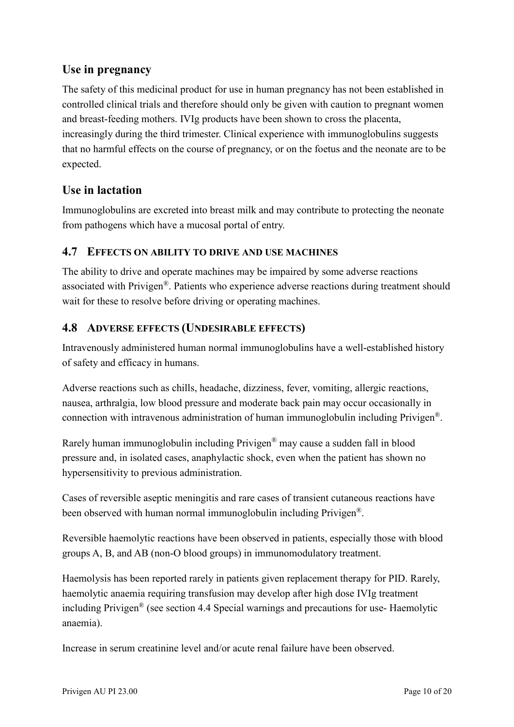## **Use in pregnancy**

The safety of this medicinal product for use in human pregnancy has not been established in controlled clinical trials and therefore should only be given with caution to pregnant women and breast-feeding mothers. IVIg products have been shown to cross the placenta, increasingly during the third trimester. Clinical experience with immunoglobulins suggests that no harmful effects on the course of pregnancy, or on the foetus and the neonate are to be expected.

## **Use in lactation**

Immunoglobulins are excreted into breast milk and may contribute to protecting the neonate from pathogens which have a mucosal portal of entry.

### **4.7 EFFECTS ON ABILITY TO DRIVE AND USE MACHINES**

The ability to drive and operate machines may be impaired by some adverse reactions associated with Privigen®. Patients who experience adverse reactions during treatment should wait for these to resolve before driving or operating machines.

### **4.8 ADVERSE EFFECTS (UNDESIRABLE EFFECTS)**

Intravenously administered human normal immunoglobulins have a well-established history of safety and efficacy in humans.

Adverse reactions such as chills, headache, dizziness, fever, vomiting, allergic reactions, nausea, arthralgia, low blood pressure and moderate back pain may occur occasionally in connection with intravenous administration of human immunoglobulin including Privigen®.

Rarely human immunoglobulin including Privigen® may cause a sudden fall in blood pressure and, in isolated cases, anaphylactic shock, even when the patient has shown no hypersensitivity to previous administration.

Cases of reversible aseptic meningitis and rare cases of transient cutaneous reactions have been observed with human normal immunoglobulin including Privigen®.

Reversible haemolytic reactions have been observed in patients, especially those with blood groups A, B, and AB (non-O blood groups) in immunomodulatory treatment.

Haemolysis has been reported rarely in patients given replacement therapy for PID. Rarely, haemolytic anaemia requiring transfusion may develop after high dose IVIg treatment including Privigen® (see section 4.4 Special warnings and precautions for use- Haemolytic anaemia).

Increase in serum creatinine level and/or acute renal failure have been observed.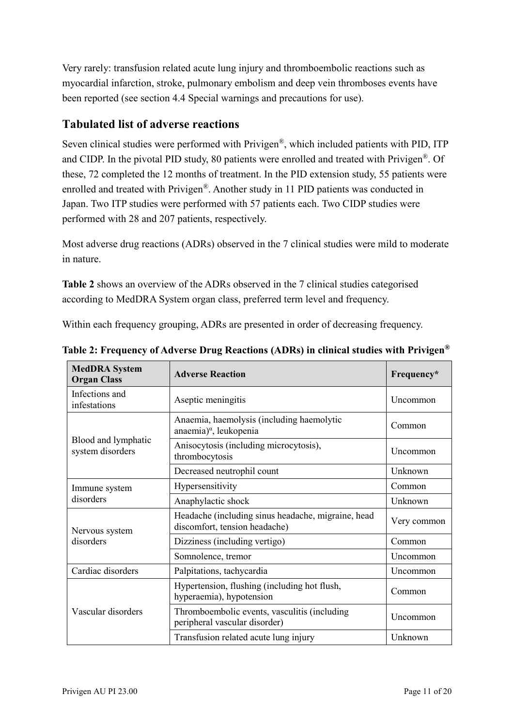Very rarely: transfusion related acute lung injury and thromboembolic reactions such as myocardial infarction, stroke, pulmonary embolism and deep vein thromboses events have been reported (see section 4.4 Special warnings and precautions for use).

## **Tabulated list of adverse reactions**

Seven clinical studies were performed with Privigen®, which included patients with PID, ITP and CIDP. In the pivotal PID study, 80 patients were enrolled and treated with Privigen®. Of these, 72 completed the 12 months of treatment. In the PID extension study, 55 patients were enrolled and treated with Privigen®. Another study in 11 PID patients was conducted in Japan. Two ITP studies were performed with 57 patients each. Two CIDP studies were performed with 28 and 207 patients, respectively.

Most adverse drug reactions (ADRs) observed in the 7 clinical studies were mild to moderate in nature.

**Table 2** shows an overview of the ADRs observed in the 7 clinical studies categorised according to MedDRA System organ class, preferred term level and frequency.

Within each frequency grouping, ADRs are presented in order of decreasing frequency.

| <b>MedDRA</b> System<br><b>Organ Class</b> | <b>Adverse Reaction</b>                                                             | Frequency*  |
|--------------------------------------------|-------------------------------------------------------------------------------------|-------------|
| Infections and<br>infestations             | Aseptic meningitis                                                                  | Uncommon    |
| Blood and lymphatic<br>system disorders    | Anaemia, haemolysis (including haemolytic<br>anaemia) <sup>a</sup> , leukopenia     | Common      |
|                                            | Anisocytosis (including microcytosis),<br>thrombocytosis                            | Uncommon    |
|                                            | Decreased neutrophil count                                                          | Unknown     |
| Immune system<br>disorders                 | Hypersensitivity                                                                    | Common      |
|                                            | Anaphylactic shock                                                                  | Unknown     |
| Nervous system<br>disorders                | Headache (including sinus headache, migraine, head<br>discomfort, tension headache) | Very common |
|                                            | Dizziness (including vertigo)                                                       | Common      |
|                                            | Somnolence, tremor                                                                  | Uncommon    |
| Cardiac disorders                          | Palpitations, tachycardia                                                           | Uncommon    |
| Vascular disorders                         | Hypertension, flushing (including hot flush,<br>hyperaemia), hypotension            | Common      |
|                                            | Thromboembolic events, vasculitis (including<br>peripheral vascular disorder)       | Uncommon    |
|                                            | Transfusion related acute lung injury                                               | Unknown     |

**Table 2: Frequency of Adverse Drug Reactions (ADRs) in clinical studies with Privigen®**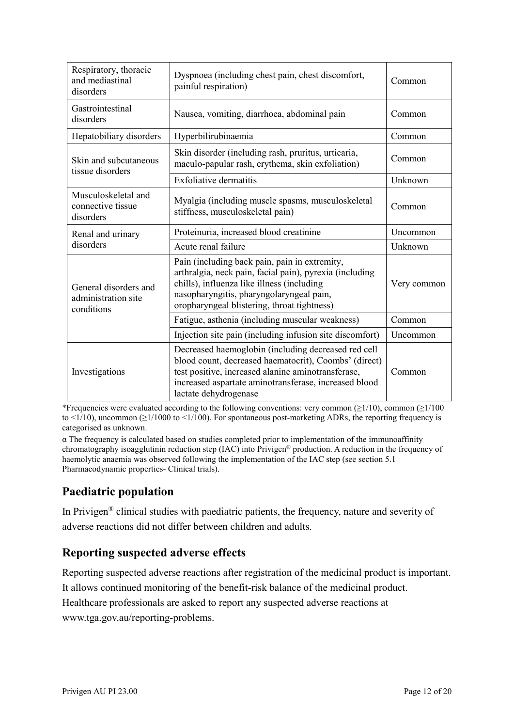| Respiratory, thoracic<br>and mediastinal<br>disorders      | Dyspnoea (including chest pain, chest discomfort,<br>painful respiration)                                                                                                                                                                            | Common      |
|------------------------------------------------------------|------------------------------------------------------------------------------------------------------------------------------------------------------------------------------------------------------------------------------------------------------|-------------|
| Gastrointestinal<br>disorders                              | Nausea, vomiting, diarrhoea, abdominal pain                                                                                                                                                                                                          | Common      |
| Hepatobiliary disorders                                    | Hyperbilirubinaemia                                                                                                                                                                                                                                  | Common      |
| Skin and subcutaneous<br>tissue disorders                  | Skin disorder (including rash, pruritus, urticaria,<br>maculo-papular rash, erythema, skin exfoliation)                                                                                                                                              | Common      |
|                                                            | <b>Exfoliative dermatitis</b>                                                                                                                                                                                                                        | Unknown     |
| Musculoskeletal and<br>connective tissue<br>disorders      | Myalgia (including muscle spasms, musculoskeletal<br>stiffness, musculoskeletal pain)                                                                                                                                                                | Common      |
| Renal and urinary<br>disorders                             | Proteinuria, increased blood creatinine                                                                                                                                                                                                              | Uncommon    |
|                                                            | Acute renal failure                                                                                                                                                                                                                                  | Unknown     |
| General disorders and<br>administration site<br>conditions | Pain (including back pain, pain in extremity,<br>arthralgia, neck pain, facial pain), pyrexia (including<br>chills), influenza like illness (including<br>nasopharyngitis, pharyngolaryngeal pain,<br>oropharyngeal blistering, throat tightness)    | Very common |
|                                                            | Fatigue, asthenia (including muscular weakness)                                                                                                                                                                                                      | Common      |
|                                                            | Injection site pain (including infusion site discomfort)                                                                                                                                                                                             | Uncommon    |
| Investigations                                             | Decreased haemoglobin (including decreased red cell<br>blood count, decreased haematocrit), Coombs' (direct)<br>test positive, increased alanine aminotransferase,<br>increased aspartate aminotransferase, increased blood<br>lactate dehydrogenase | Common      |

\*Frequencies were evaluated according to the following conventions: very common ( $\geq$ 1/10), common ( $\geq$ 1/100 to <1/10), uncommon ( $\geq$ 1/1000 to <1/100). For spontaneous post-marketing ADRs, the reporting frequency is categorised as unknown.

α The frequency is calculated based on studies completed prior to implementation of the immunoaffinity chromatography isoagglutinin reduction step (IAC) into Privigen® production. A reduction in the frequency of haemolytic anaemia was observed following the implementation of the IAC step (see section 5.1 Pharmacodynamic properties- Clinical trials).

# **Paediatric population**

In Privigen® clinical studies with paediatric patients, the frequency, nature and severity of adverse reactions did not differ between children and adults.

# **Reporting suspected adverse effects**

Reporting suspected adverse reactions after registration of the medicinal product is important. It allows continued monitoring of the benefit-risk balance of the medicinal product. Healthcare professionals are asked to report any suspected adverse reactions at www.tga.gov.au/reporting-problems.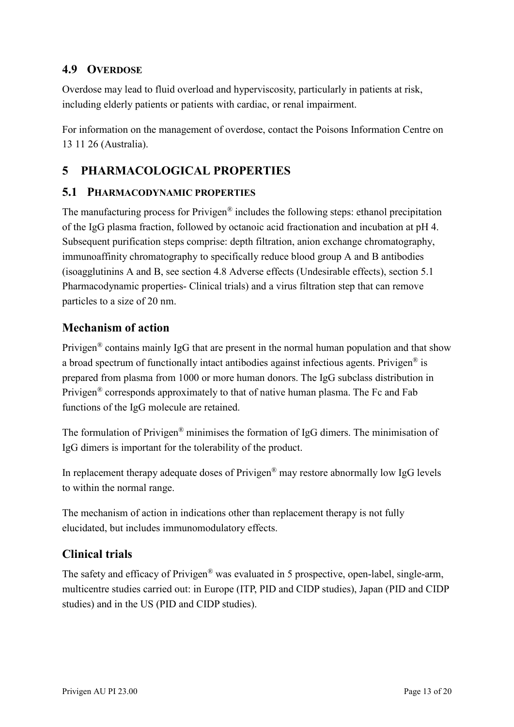### **4.9 OVERDOSE**

Overdose may lead to fluid overload and hyperviscosity, particularly in patients at risk, including elderly patients or patients with cardiac, or renal impairment.

For information on the management of overdose, contact the Poisons Information Centre on 13 11 26 (Australia).

# **5 PHARMACOLOGICAL PROPERTIES**

#### **5.1 PHARMACODYNAMIC PROPERTIES**

The manufacturing process for Privigen® includes the following steps: ethanol precipitation of the IgG plasma fraction, followed by octanoic acid fractionation and incubation at pH 4. Subsequent purification steps comprise: depth filtration, anion exchange chromatography, immunoaffinity chromatography to specifically reduce blood group A and B antibodies (isoagglutinins A and B, see section 4.8 Adverse effects (Undesirable effects), section 5.1 Pharmacodynamic properties- Clinical trials) and a virus filtration step that can remove particles to a size of 20 nm.

### **Mechanism of action**

Privigen® contains mainly IgG that are present in the normal human population and that show a broad spectrum of functionally intact antibodies against infectious agents. Privigen<sup>®</sup> is prepared from plasma from 1000 or more human donors. The IgG subclass distribution in Privigen® corresponds approximately to that of native human plasma. The Fc and Fab functions of the IgG molecule are retained.

The formulation of Privigen® minimises the formation of IgG dimers. The minimisation of IgG dimers is important for the tolerability of the product.

In replacement therapy adequate doses of Privigen® may restore abnormally low IgG levels to within the normal range.

The mechanism of action in indications other than replacement therapy is not fully elucidated, but includes immunomodulatory effects.

## **Clinical trials**

The safety and efficacy of Privigen<sup>®</sup> was evaluated in 5 prospective, open-label, single-arm, multicentre studies carried out: in Europe (ITP, PID and CIDP studies), Japan (PID and CIDP studies) and in the US (PID and CIDP studies).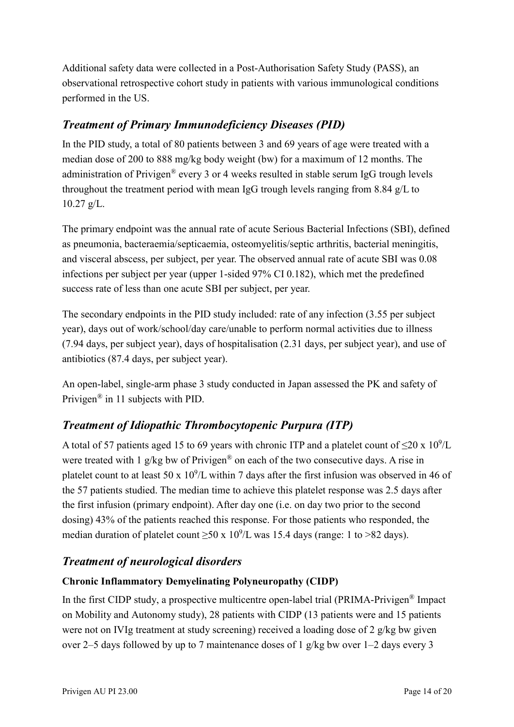Additional safety data were collected in a Post-Authorisation Safety Study (PASS), an observational retrospective cohort study in patients with various immunological conditions performed in the US.

# *Treatment of Primary Immunodeficiency Diseases (PID)*

In the PID study, a total of 80 patients between 3 and 69 years of age were treated with a median dose of 200 to 888 mg/kg body weight (bw) for a maximum of 12 months. The administration of Privigen® every 3 or 4 weeks resulted in stable serum IgG trough levels throughout the treatment period with mean IgG trough levels ranging from 8.84 g/L to  $10.27 \text{ g/L}$ .

The primary endpoint was the annual rate of acute Serious Bacterial Infections (SBI), defined as pneumonia, bacteraemia/septicaemia, osteomyelitis/septic arthritis, bacterial meningitis, and visceral abscess, per subject, per year. The observed annual rate of acute SBI was 0.08 infections per subject per year (upper 1-sided 97% CI 0.182), which met the predefined success rate of less than one acute SBI per subject, per year.

The secondary endpoints in the PID study included: rate of any infection (3.55 per subject year), days out of work/school/day care/unable to perform normal activities due to illness (7.94 days, per subject year), days of hospitalisation (2.31 days, per subject year), and use of antibiotics (87.4 days, per subject year).

An open-label, single-arm phase 3 study conducted in Japan assessed the PK and safety of Privigen® in 11 subjects with PID.

# *Treatment of Idiopathic Thrombocytopenic Purpura (ITP)*

A total of 57 patients aged 15 to 69 years with chronic ITP and a platelet count of  $\leq$ 20 x 10<sup>9</sup>/L were treated with 1 g/kg bw of Privigen<sup>®</sup> on each of the two consecutive days. A rise in platelet count to at least 50 x  $10^9$ /L within 7 days after the first infusion was observed in 46 of the 57 patients studied. The median time to achieve this platelet response was 2.5 days after the first infusion (primary endpoint). After day one (i.e. on day two prior to the second dosing) 43% of the patients reached this response. For those patients who responded, the median duration of platelet count  $\geq 50 \times 10^9$ /L was 15.4 days (range: 1 to  $>82$  days).

## *Treatment of neurological disorders*

### **Chronic Inflammatory Demyelinating Polyneuropathy (CIDP)**

In the first CIDP study, a prospective multicentre open-label trial (PRIMA-Privigen® Impact on Mobility and Autonomy study), 28 patients with CIDP (13 patients were and 15 patients were not on IVIg treatment at study screening) received a loading dose of 2 g/kg bw given over 2–5 days followed by up to 7 maintenance doses of 1 g/kg bw over 1–2 days every 3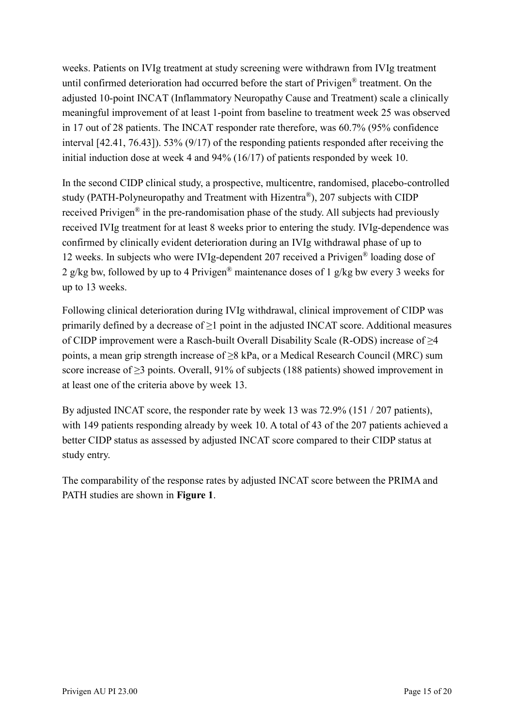weeks. Patients on IVIg treatment at study screening were withdrawn from IVIg treatment until confirmed deterioration had occurred before the start of Privigen® treatment. On the adjusted 10-point INCAT (Inflammatory Neuropathy Cause and Treatment) scale a clinically meaningful improvement of at least 1-point from baseline to treatment week 25 was observed in 17 out of 28 patients. The INCAT responder rate therefore, was 60.7% (95% confidence interval [42.41, 76.43]). 53% (9/17) of the responding patients responded after receiving the initial induction dose at week 4 and 94% (16/17) of patients responded by week 10.

In the second CIDP clinical study, a prospective, multicentre, randomised, placebo-controlled study (PATH-Polyneuropathy and Treatment with Hizentra®), 207 subjects with CIDP received Privigen® in the pre-randomisation phase of the study. All subjects had previously received IVIg treatment for at least 8 weeks prior to entering the study. IVIg-dependence was confirmed by clinically evident deterioration during an IVIg withdrawal phase of up to 12 weeks. In subjects who were IVIg-dependent 207 received a Privigen® loading dose of 2 g/kg bw, followed by up to 4 Privigen<sup>®</sup> maintenance doses of 1 g/kg bw every 3 weeks for up to 13 weeks.

Following clinical deterioration during IVIg withdrawal, clinical improvement of CIDP was primarily defined by a decrease of  $\geq 1$  point in the adjusted INCAT score. Additional measures of CIDP improvement were a Rasch-built Overall Disability Scale (R-ODS) increase of ≥4 points, a mean grip strength increase of ≥8 kPa, or a Medical Research Council (MRC) sum score increase of  $\geq$ 3 points. Overall, 91% of subjects (188 patients) showed improvement in at least one of the criteria above by week 13.

By adjusted INCAT score, the responder rate by week 13 was 72.9% (151 / 207 patients), with 149 patients responding already by week 10. A total of 43 of the 207 patients achieved a better CIDP status as assessed by adjusted INCAT score compared to their CIDP status at study entry.

The comparability of the response rates by adjusted INCAT score between the PRIMA and PATH studies are shown in **Figure 1**.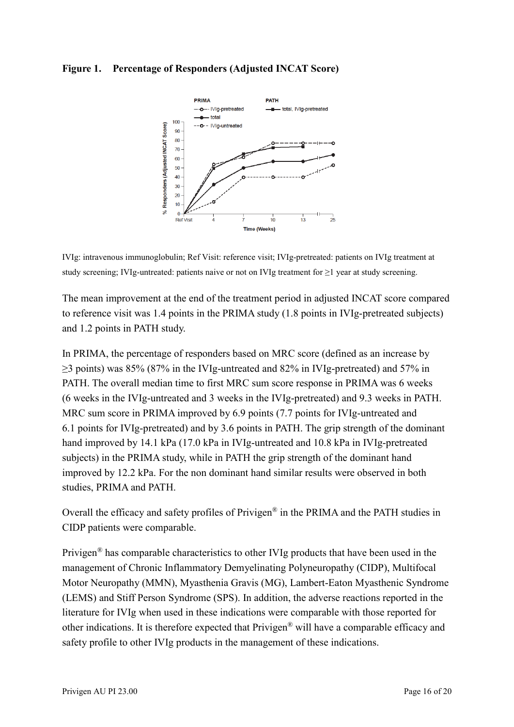#### **Figure 1. Percentage of Responders (Adjusted INCAT Score)**





The mean improvement at the end of the treatment period in adjusted INCAT score compared to reference visit was 1.4 points in the PRIMA study (1.8 points in IVIg-pretreated subjects) and 1.2 points in PATH study.

In PRIMA, the percentage of responders based on MRC score (defined as an increase by ≥3 points) was 85% (87% in the IVIg-untreated and 82% in IVIg-pretreated) and 57% in PATH. The overall median time to first MRC sum score response in PRIMA was 6 weeks (6 weeks in the IVIg-untreated and 3 weeks in the IVIg-pretreated) and 9.3 weeks in PATH. MRC sum score in PRIMA improved by 6.9 points (7.7 points for IVIg-untreated and 6.1 points for IVIg-pretreated) and by 3.6 points in PATH. The grip strength of the dominant hand improved by 14.1 kPa (17.0 kPa in IVIg-untreated and 10.8 kPa in IVIg-pretreated subjects) in the PRIMA study, while in PATH the grip strength of the dominant hand improved by 12.2 kPa. For the non dominant hand similar results were observed in both studies, PRIMA and PATH.

Overall the efficacy and safety profiles of Privigen® in the PRIMA and the PATH studies in CIDP patients were comparable.

Privigen® has comparable characteristics to other IVIg products that have been used in the management of Chronic Inflammatory Demyelinating Polyneuropathy (CIDP), Multifocal Motor Neuropathy (MMN), Myasthenia Gravis (MG), Lambert-Eaton Myasthenic Syndrome (LEMS) and Stiff Person Syndrome (SPS). In addition, the adverse reactions reported in the literature for IVIg when used in these indications were comparable with those reported for other indications. It is therefore expected that Privigen® will have a comparable efficacy and safety profile to other IVIg products in the management of these indications.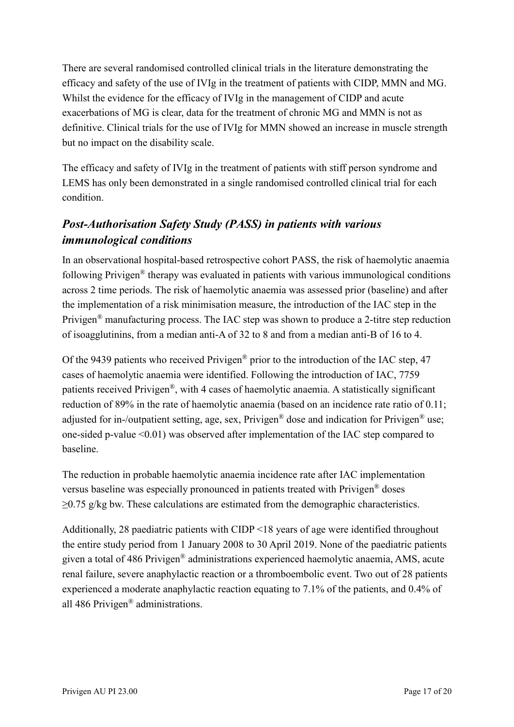There are several randomised controlled clinical trials in the literature demonstrating the efficacy and safety of the use of IVIg in the treatment of patients with CIDP, MMN and MG. Whilst the evidence for the efficacy of IVIg in the management of CIDP and acute exacerbations of MG is clear, data for the treatment of chronic MG and MMN is not as definitive. Clinical trials for the use of IVIg for MMN showed an increase in muscle strength but no impact on the disability scale.

The efficacy and safety of IVIg in the treatment of patients with stiff person syndrome and LEMS has only been demonstrated in a single randomised controlled clinical trial for each condition.

# *Post-Authorisation Safety Study (PASS) in patients with various immunological conditions*

In an observational hospital-based retrospective cohort PASS, the risk of haemolytic anaemia following Privigen® therapy was evaluated in patients with various immunological conditions across 2 time periods. The risk of haemolytic anaemia was assessed prior (baseline) and after the implementation of a risk minimisation measure, the introduction of the IAC step in the Privigen® manufacturing process. The IAC step was shown to produce a 2-titre step reduction of isoagglutinins, from a median anti-A of 32 to 8 and from a median anti-B of 16 to 4.

Of the 9439 patients who received Privigen® prior to the introduction of the IAC step, 47 cases of haemolytic anaemia were identified. Following the introduction of IAC, 7759 patients received Privigen®, with 4 cases of haemolytic anaemia. A statistically significant reduction of 89% in the rate of haemolytic anaemia (based on an incidence rate ratio of 0.11; adjusted for in-/outpatient setting, age, sex, Privigen<sup>®</sup> dose and indication for Privigen<sup>®</sup> use; one-sided p-value <0.01) was observed after implementation of the IAC step compared to baseline.

The reduction in probable haemolytic anaemia incidence rate after IAC implementation versus baseline was especially pronounced in patients treated with Privigen® doses  $\geq$ 0.75 g/kg bw. These calculations are estimated from the demographic characteristics.

Additionally, 28 paediatric patients with CIDP <18 years of age were identified throughout the entire study period from 1 January 2008 to 30 April 2019. None of the paediatric patients given a total of 486 Privigen® administrations experienced haemolytic anaemia, AMS, acute renal failure, severe anaphylactic reaction or a thromboembolic event. Two out of 28 patients experienced a moderate anaphylactic reaction equating to 7.1% of the patients, and 0.4% of all 486 Privigen® administrations.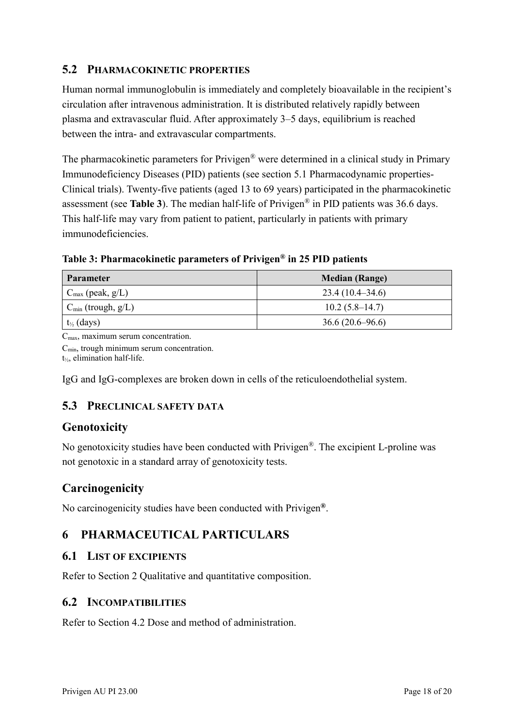#### **5.2 PHARMACOKINETIC PROPERTIES**

Human normal immunoglobulin is immediately and completely bioavailable in the recipient's circulation after intravenous administration. It is distributed relatively rapidly between plasma and extravascular fluid. After approximately 3–5 days, equilibrium is reached between the intra- and extravascular compartments.

The pharmacokinetic parameters for Privigen<sup>®</sup> were determined in a clinical study in Primary Immunodeficiency Diseases (PID) patients (see section 5.1 Pharmacodynamic properties-Clinical trials). Twenty-five patients (aged 13 to 69 years) participated in the pharmacokinetic assessment (see **Table 3**). The median half-life of Privigen® in PID patients was 36.6 days. This half-life may vary from patient to patient, particularly in patients with primary immunodeficiencies.

**Table 3: Pharmacokinetic parameters of Privigen® in 25 PID patients**

| <b>Parameter</b>             | <b>Median (Range)</b> |
|------------------------------|-----------------------|
| $C_{\text{max}}$ (peak, g/L) | $23.4(10.4 - 34.6)$   |
| $C_{\min}$ (trough, $g/L$ )  | $10.2(5.8-14.7)$      |
| $t_{\frac{1}{2}}$ (days)     | $36.6(20.6 - 96.6)$   |

 $C_{\text{max}}$ , maximum serum concentration.

 $C_{\text{min}}$ , trough minimum serum concentration.

t½, elimination half-life.

IgG and IgG-complexes are broken down in cells of the reticuloendothelial system.

### **5.3 PRECLINICAL SAFETY DATA**

### **Genotoxicity**

No genotoxicity studies have been conducted with Privigen®. The excipient L-proline was not genotoxic in a standard array of genotoxicity tests.

## **Carcinogenicity**

No carcinogenicity studies have been conducted with Privigen**®**.

# **6 PHARMACEUTICAL PARTICULARS**

### **6.1 LIST OF EXCIPIENTS**

Refer to Section 2 Qualitative and quantitative composition.

### **6.2 INCOMPATIBILITIES**

Refer to Section 4.2 Dose and method of administration.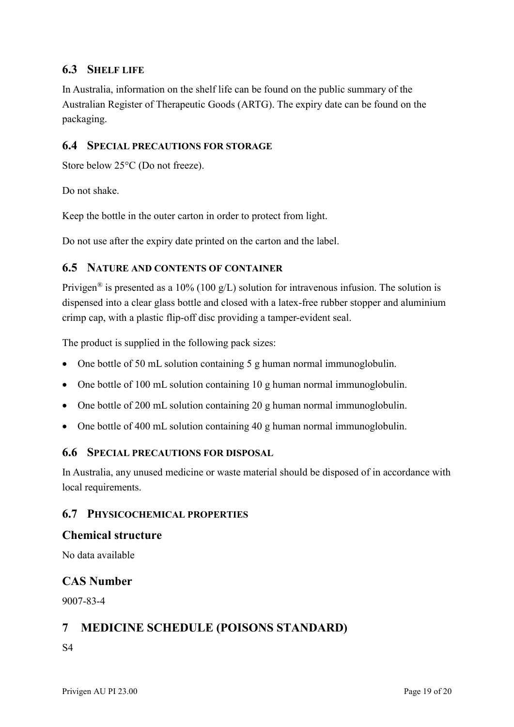### **6.3 SHELF LIFE**

In Australia, information on the shelf life can be found on the public summary of the Australian Register of Therapeutic Goods (ARTG). The expiry date can be found on the packaging.

#### **6.4 SPECIAL PRECAUTIONS FOR STORAGE**

Store below 25°C (Do not freeze).

Do not shake.

Keep the bottle in the outer carton in order to protect from light.

Do not use after the expiry date printed on the carton and the label.

#### **6.5 NATURE AND CONTENTS OF CONTAINER**

Privigen<sup>®</sup> is presented as a 10% (100 g/L) solution for intravenous infusion. The solution is dispensed into a clear glass bottle and closed with a latex-free rubber stopper and aluminium crimp cap, with a plastic flip-off disc providing a tamper-evident seal.

The product is supplied in the following pack sizes:

- One bottle of 50 mL solution containing 5 g human normal immunoglobulin.
- One bottle of 100 mL solution containing 10 g human normal immunoglobulin.
- One bottle of 200 mL solution containing 20 g human normal immunoglobulin.
- One bottle of 400 mL solution containing 40 g human normal immunoglobulin.

### **6.6 SPECIAL PRECAUTIONS FOR DISPOSAL**

In Australia, any unused medicine or waste material should be disposed of in accordance with local requirements.

#### **6.7 PHYSICOCHEMICAL PROPERTIES**

#### **Chemical structure**

No data available

#### **CAS Number**

9007-83-4

### **7 MEDICINE SCHEDULE (POISONS STANDARD)**

S4